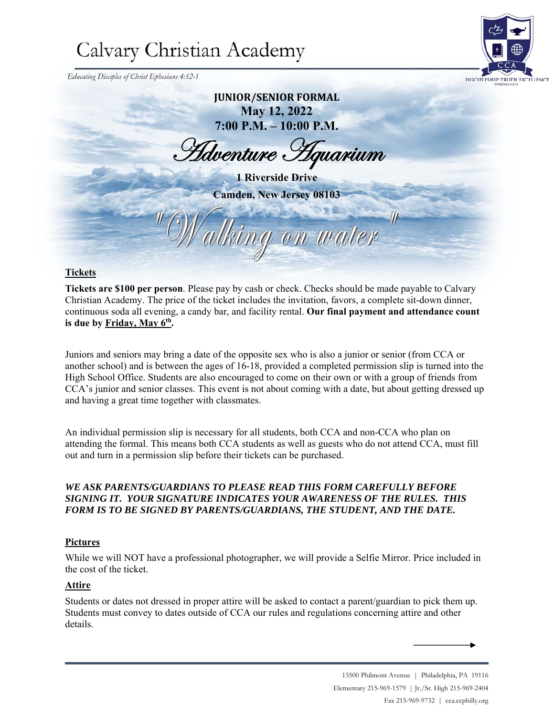# Calvary Christian Academy

 *Educating Disciples of Christ Ephesians 4:12-1*

### **JUNIOR/SENIOR FORMAL May 12, 2022 7:00 P.M. – 10:00 P.M.**

Hdventure Hquarium

**1 Riverside Drive Camden, New Jersey 08103** 

Valking on water

### **Tickets**

**Tickets are \$100 per person**. Please pay by cash or check. Checks should be made payable to Calvary Christian Academy. The price of the ticket includes the invitation, favors, a complete sit-down dinner, continuous soda all evening, a candy bar, and facility rental. **Our final payment and attendance count**  is due by Friday, May 6<sup>th</sup>.

Juniors and seniors may bring a date of the opposite sex who is also a junior or senior (from CCA or another school) and is between the ages of 16-18, provided a completed permission slip is turned into the High School Office. Students are also encouraged to come on their own or with a group of friends from CCA's junior and senior classes. This event is not about coming with a date, but about getting dressed up and having a great time together with classmates.

An individual permission slip is necessary for all students, both CCA and non-CCA who plan on attending the formal. This means both CCA students as well as guests who do not attend CCA, must fill out and turn in a permission slip before their tickets can be purchased.

#### *WE ASK PARENTS/GUARDIANS TO PLEASE READ THIS FORM CAREFULLY BEFORE SIGNING IT. YOUR SIGNATURE INDICATES YOUR AWARENESS OF THE RULES. THIS FORM IS TO BE SIGNED BY PARENTS/GUARDIANS, THE STUDENT, AND THE DATE.*

### **Pictures**

While we will NOT have a professional photographer, we will provide a Selfie Mirror. Price included in the cost of the ticket.

### **Attire**

Students or dates not dressed in proper attire will be asked to contact a parent/guardian to pick them up. Students must convey to dates outside of CCA our rules and regulations concerning attire and other details.

> 13500 Philmont Avenue | Philadelphia, PA 19116 Elementary 215-969-1579 | Jr./Sr. High 215-969-2404 Fax 215-969-9732 | cca.ccphilly.org

 $\boldsymbol{\eta}$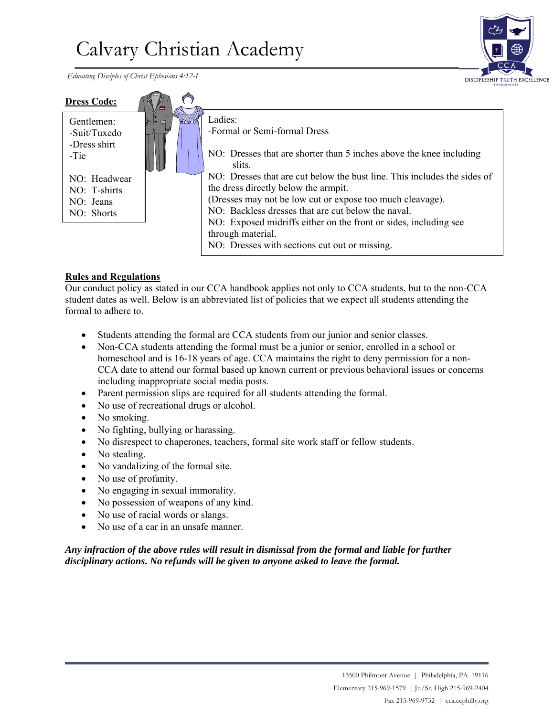# Calvary Christian Academy

 *Educating Disciples of Christ Ephesians 4:12-1*



| <b>Dress Code:</b>                                      |                  |                                                                                                                                                                                                                                                                                                                                                                               |
|---------------------------------------------------------|------------------|-------------------------------------------------------------------------------------------------------------------------------------------------------------------------------------------------------------------------------------------------------------------------------------------------------------------------------------------------------------------------------|
| Gentlemen:<br>-Suit/Tuxedo<br>-Dress shirt<br>-Tie      | $T$ and $T$<br>⋩ | Ladies:<br>-Formal or Semi-formal Dress<br>NO: Dresses that are shorter than 5 inches above the knee including<br>slits.                                                                                                                                                                                                                                                      |
| NO: Headwear<br>NO: T-shirts<br>NO: Jeans<br>NO: Shorts |                  | NO: Dresses that are cut below the bust line. This includes the sides of<br>the dress directly below the armpit.<br>(Dresses may not be low cut or expose too much cleavage).<br>NO: Backless dresses that are cut below the naval.<br>NO: Exposed midriffs either on the front or sides, including see<br>through material.<br>NO: Dresses with sections cut out or missing. |

### **Rules and Regulations**

Our conduct policy as stated in our CCA handbook applies not only to CCA students, but to the non-CCA student dates as well. Below is an abbreviated list of policies that we expect all students attending the formal to adhere to.

- Students attending the formal are CCA students from our junior and senior classes.
- Non-CCA students attending the formal must be a junior or senior, enrolled in a school or homeschool and is 16-18 years of age. CCA maintains the right to deny permission for a non-CCA date to attend our formal based up known current or previous behavioral issues or concerns including inappropriate social media posts.
- Parent permission slips are required for all students attending the formal.
- No use of recreational drugs or alcohol.
- No smoking.
- No fighting, bullying or harassing.
- No disrespect to chaperones, teachers, formal site work staff or fellow students.
- No stealing.
- No vandalizing of the formal site.
- No use of profanity.
- No engaging in sexual immorality.
- No possession of weapons of any kind.
- No use of racial words or slangs.
- No use of a car in an unsafe manner.

### *Any infraction of the above rules will result in dismissal from the formal and liable for further disciplinary actions. No refunds will be given to anyone asked to leave the formal.*